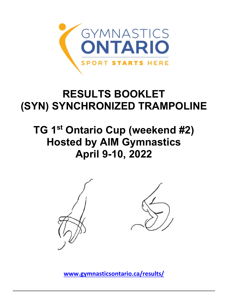

## **RESULTS BOOKLET (SYN) SYNCHRONIZED TRAMPOLINE**

## **TG 1st Ontario Cup (weekend #2) Hosted by AIM Gymnastics April 9-10, 2022**



**[www.gymnasticsontario.ca/results/](https://www.gymnasticsontario.ca/results/)**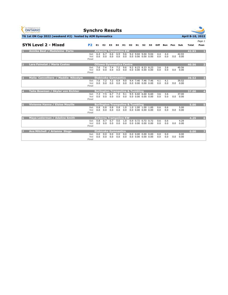

**Synchro Results**



**TG 1st ON Cup 2022 (weekend #2)** hosted by AIM Gymnastics **April 8-10, 2022** 

|   | <b>SYN Level 2 - Mixed</b>         | <b>P2</b>           | E1         | E <sub>2</sub> | E3                                                        | E4         | H <sub>1</sub> | <b>H2</b> | S1                                                       | S2             | S3 | <b>Diff</b> | Bon        | Pen | Sub                       | <b>Total</b> | Page 1<br>Posn          |
|---|------------------------------------|---------------------|------------|----------------|-----------------------------------------------------------|------------|----------------|-----------|----------------------------------------------------------|----------------|----|-------------|------------|-----|---------------------------|--------------|-------------------------|
|   | Annika Best / Madeleine Porto      | Set<br>Vol<br>Final | 6.4<br>0.0 | 6.7<br>0.0     | <b>Airborne Trampoline KW</b><br>6.6<br>0.0               | 6.9<br>0.0 | 9.6<br>0.0     |           | 9.2 9.04 9.04 9.04<br>$0.0$ $0.00$ $0.00$ $0.00$         |                |    | 4.4<br>0.0  | 4.4<br>0.0 | 0.0 | 42.93<br>0.00             | 42.93        |                         |
| D | Lara Fainstat / Maria Coates       | Set<br>Vol<br>Final | 7.6<br>0.0 | 7.6<br>0.0     | <b>Ottawa Gymnastics Centre</b><br>7.4<br>0.0             | 7.2<br>0.0 | 9.6<br>0.0     |           | 9.2 8.23 8.23 8.23<br>$0.0$ $0.00$ $0.00$ $0.00$         |                |    | 3.6<br>0.0  | 3.6<br>0.0 |     | 40.56<br>$0.0\quad 0.00$  | 40.56        | $\overline{2}$          |
| B | Malia Cancelliere / Maddie Nikodym | Set<br>Vol<br>Final | 7.6<br>0.0 | 7.2<br>0.0     | <b>Etobicoke Gymnastics</b><br>7.2<br>0.0                 | 6.9<br>0.0 | 9.0<br>0.0     | 9.4       | $0.0$ $0.00$ $0.00$ $0.00$                               | 7.46 7.46 7.46 |    | 4.1<br>0.0  | 4.1<br>0.0 |     | 39.52<br>$0.0 \quad 0.00$ | 39.52        | $\overline{\mathbf{3}}$ |
| 4 | Taite Bowman / Skylar von Richter  | Set<br>Vol<br>Final | 7.3<br>0.0 | 7.5<br>0.0     | <b>Burlington Trampoline &amp; Tumbling</b><br>6.7<br>0.0 | 7.3<br>0.0 | 9.1<br>0.0     |           | 9.5, 6.60, 6.60, 6.60<br>$0.0$ $0.00$ $0.00$ $0.00$      |                |    | 3.6<br>0.0  | 3.6<br>0.0 | 0.0 | 37.00<br>0.00             | 37.00        | $\overline{4}$          |
| Б | Vivienne Hanna / Eloise Mouille    | Set<br>Vol<br>Final | 0.8<br>0.0 | 0.8<br>0.0     | <b>Burlington Trampoline &amp; Tumbling</b><br>0.8<br>0.0 | 0.8<br>0.0 | 1.0<br>0.0     |           | 1.0 1.00 1.00 1.00<br>$0.0$ $0.00$ $0.00$ $0.00$         |                |    | 0.6<br>0.0  | 0.6<br>0.0 | 0.0 | 5.00<br>0.00              | 5.00         | $\overline{5}$          |
| 6 | Maya Lederman / Adaline Smith      | Set<br>Vol<br>Final | 0.8<br>0.0 | 0.7<br>0.0     | <b>Airborne Trampoline KW</b><br>0.7<br>0.0               | 0.6<br>0.0 | 1.0<br>0.0     |           | $0.9$ $0.72$ $0.72$ $0.72$<br>$0.0$ $0.00$ $0.00$ $0.00$ |                |    | 0.6<br>0.0  | 0.6<br>0.0 | 0.0 | 4.29<br>0.00              | 4.29         | $6\phantom{1}$          |
| F | Ava Mitchell / Arianna Sluga       | Set<br>Vol<br>Final | 0.0<br>0.0 | 0.0<br>0.0     | <b>Etobicoke Gymnastics</b><br>0.0<br>0.0                 | 0.0<br>0.0 | 0.0<br>0.0     |           | $0.0$ $0.00$ $0.00$ $0.00$<br>$0.0$ $0.00$ $0.00$ $0.00$ |                |    | 0.0<br>0.0  | 0.0<br>0.0 | 0.0 | 0.00<br>0.00              | 0.00         | 7                       |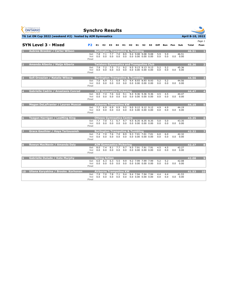| <b>GYMNASTICS</b><br><b>ONTARIO</b><br><b>SPORT STARTS HERE</b> | <b>Synchro Results</b> |            |                      |                                                                   |                        |            |       |                                                                        |                |                                                |            |            |     |                           |                  |                  |
|-----------------------------------------------------------------|------------------------|------------|----------------------|-------------------------------------------------------------------|------------------------|------------|-------|------------------------------------------------------------------------|----------------|------------------------------------------------|------------|------------|-----|---------------------------|------------------|------------------|
| TG 1st ON Cup 2022 (weekend #2) hosted by AIM Gymnastics        |                        |            |                      |                                                                   |                        |            |       |                                                                        |                |                                                |            |            |     |                           | April 8-10, 2022 |                  |
| <b>SYN Level 3 - Mixed</b>                                      | P <sub>2</sub>         | E1.        | E <sub>2</sub>       | <b>E3</b>                                                         | E4                     | H1.        | H2 S1 |                                                                        | S <sub>2</sub> | <b>S3</b>                                      |            | Diff Bon   | Pen | Sub                       | Total            | Page 1<br>Posn   |
| <b>Aubree Brooker / Carter Wilson</b>                           | Set<br>Vol<br>Final    | 7.8<br>0.0 | 7.1<br>0.0           | <b>Burlington Trampoline &amp; Tumbling</b><br>7.7<br>0.0         | 7.0<br>0.0             | 8.9<br>0.0 |       | 9.4 9.08 9.08 9.08<br>$0.0$ $0.00$ $0.00$ $0.00$                       |                |                                                | 5.9<br>0.0 | 5.9<br>0.0 |     | 46.51<br>0.0 0.00         | 46.51            | п                |
| Amanda Alberts / Maija Alberts<br>D                             | Set<br>Vol<br>Final    | 7.9<br>0.0 | 7.2<br>0.0           | 7.5<br>0.0                                                        | 7.1<br>0.0             | 9.2<br>0.0 |       | 9.5 9.13 9.13 9.13<br>$0.0$ $0.00$ $0.00$ $0.00$                       |                | <b>Twisters Gymnastics and Trampoline Club</b> | 5.2<br>0.0 | 5.2<br>0.0 |     | 45.36<br>0.0 0.00         | 45.36            | $\overline{2}$   |
| Sofi Oroszlan / Natalie Wiberg                                  | Set<br>Vol<br>Final    | 7.0<br>0.0 | 6.9<br>0.0           | <b>Burlington Trampoline &amp; Tumbling</b><br>7.1<br>0.0         | 6.9<br>0.0             | 9.3<br>0.0 |       | 9.4 8.93 8.93 8.93<br>$0.0$ $0.00$ $0.00$ $0.00$                       |                |                                                | 5.2<br>0.0 | 5.2<br>0.0 |     | 44.56<br>$0.0 \quad 0.00$ | 44.56            | 3                |
| Gabrielle Cadrin / Anastasia Conrad                             | Set<br>Vol<br>Final    | 8.0<br>0.0 | 7.4<br>0.0           | <b>AIM Gymnastics Pickering</b><br>7.6                            | 6.6<br>$0.0 \quad 0.0$ | 9.1<br>0.0 |       | 9.4 9.36 9.36 9.36<br>$0.0$ $0.00$ $0.00$ $0.00$                       |                |                                                | 4.5<br>0.0 | 4.5<br>0.0 |     | 44.47<br>$0.0 \quad 0.00$ | 44.47            | $\overline{4}$   |
| <b>Megan DeLaFranier / Lauren Muscat</b>                        | Set<br>Vol<br>Final    | 7.7<br>0.0 | 6.9                  | <b>Airborne Trampoline KW</b><br>6.9<br>$0.0 \quad 0.0 \quad 0.0$ | 6.9                    | 9.5        |       | 9.0 9.12 9.12 9.12<br>$0.0 \quad 0.0 \quad 0.00 \quad 0.00 \quad 0.00$ |                |                                                | 4.9<br>0.0 | 4.9<br>0.0 |     | 44.19<br>$0.0 \quad 0.00$ | 44.19            | $\overline{5}$   |
| Teagan Harrigan / LeeMing King<br>6                             | Set<br>Vol<br>Final    | 7.7<br>0.0 | 7.0<br>0.0           | <b>Ottawa Gymnastics Centre</b><br>7.1<br>0.0                     | 6.7<br>0.0             | 9.7        |       | 9.5 8.35 8.35 8.35<br>$0.0 \quad 0.0 \quad 0.00 \quad 0.00 \quad 0.00$ |                |                                                | 5.0<br>0.0 | 5.0<br>0.0 |     | 43.35<br>$0.0 \quad 0.00$ | 43.35            | $6\phantom{a}$   |
| <b>Grace Gauthier / Haya Tartoussieh</b>                        | Set<br>Vol<br>Final    | 7.4<br>0.0 | 7.0<br>0.0           | <b>Burlington Trampoline &amp; Tumbling</b><br>7.6<br>0.0         | 7.0<br>0.0             | 8.9<br>0.0 |       | 9.3 7.01 7.01 7.01<br>$0.0$ $0.00$ $0.00$ $0.00$                       |                |                                                | 6.0<br>0.0 | 6.0<br>0.0 |     | 42.32<br>$0.0 \quad 0.00$ | 42.32            | 7                |
| Rowyn MacNevin / Amanda Daly                                    | Set<br>Vol<br>Final    | 8.0<br>0.0 | 7.4                  | <b>AIM Gymnastics Pickering</b><br>8.1<br>$0.0 \quad 0.0$         | 7.7<br>0.0             | 9.7<br>0.0 |       | 9.5 7.91 7.91 7.91<br>$0.0$ $0.00$ $0.00$ $0.00$                       |                |                                                | 4.5<br>0.0 | 4.5<br>0.0 |     | 42.27<br>$0.0 \quad 0.00$ | 42.27            | $\bf{8}$         |
| <b>Gabrielle Dulude / Kate Murphy</b><br>o                      |                        |            | <b>Spring Action</b> |                                                                   |                        |            |       |                                                                        |                |                                                |            |            |     |                           | 42.08            | $\boldsymbol{9}$ |

**9 42.08 9 Set** 6.0 6.3 6.3 5.5 9.9 9.2 7.99 7.99 7.99 5.2 5.2 42.08 **Vol** 0.0 0.0 0.0 0.0 0.0 0.0 0.00 0.00 0.00 0.0 0.0 0.0 0.00

**10 41.53 10 Set** 7.9 7.0 7.8 7.1 9.4 9.4 7.94 7.94 7.94 4.4 4.4 41.53 **Vol** 0.0 0.0 0.0 0.0 0.0 0.0 0.00 0.00 0.00 0.0 0.0 0.0 0.00 **Final**

**Final**

**10 Uliana Karyakina / Brooke Korhonen**